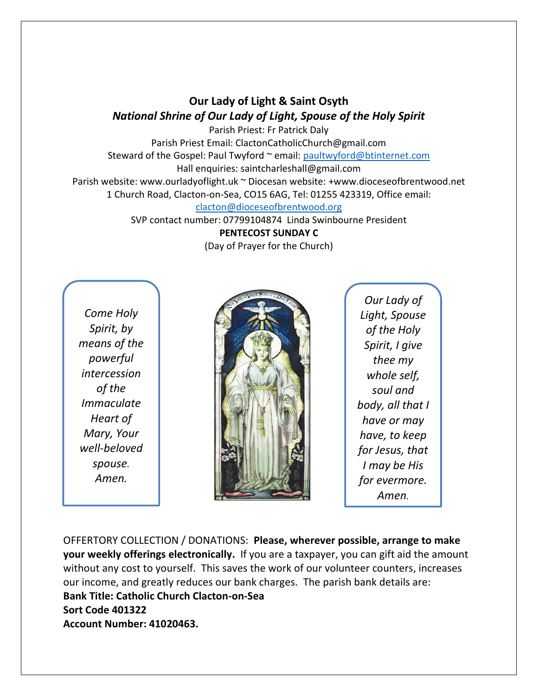**Our Lady of Light & Saint Osyth** *National Shrine of Our Lady of Light, Spouse of the Holy Spirit*

Parish Priest: Fr Patrick Daly Parish Priest Email: ClactonCatholicChurch@gmail.com Steward of the Gospel: Paul Twyford ~ email: [paultwyford@btinternet.com](mailto:paultwyford@btinternet.com) Hall enquiries: saintcharleshall@gmail.com Parish website: www.ourladyoflight.uk ~ Diocesan website: +www.dioceseofbrentwood.net 1 Church Road, Clacton-on-Sea, CO15 6AG, Tel: 01255 423319, Office email:

[clacton@dioceseofbrentwood.org](mailto:clacton@dioceseofbrentwood.org)

SVP contact number: 07799104874 Linda Swinbourne President

**PENTECOST SUNDAY C**

(Day of Prayer for the Church)

*Come Holy Spirit, by means of the powerful intercession of the Immaculate Heart of Mary, Your well-beloved spouse. Amen.*



*Our Lady of Light, Spouse of the Holy Spirit, I give thee my whole self, soul and body, all that I have or may have, to keep for Jesus, that I may be His for evermore. Amen.*

OFFERTORY COLLECTION / DONATIONS: **Please, wherever possible, arrange to make your weekly offerings electronically.** If you are a taxpayer, you can gift aid the amount without any cost to yourself. This saves the work of our volunteer counters, increases our income, and greatly reduces our bank charges. The parish bank details are: **Bank Title: Catholic Church Clacton-on-Sea Sort Code 401322 Account Number: 41020463.**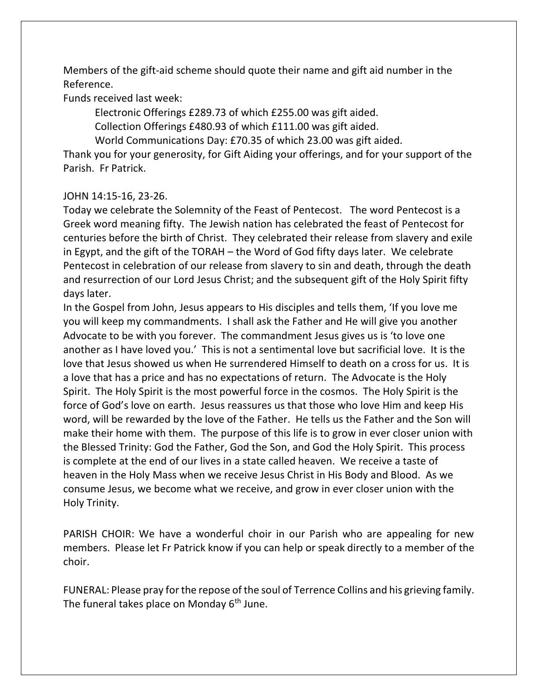Members of the gift-aid scheme should quote their name and gift aid number in the Reference.

Funds received last week:

Electronic Offerings £289.73 of which £255.00 was gift aided.

Collection Offerings £480.93 of which £111.00 was gift aided.

World Communications Day: £70.35 of which 23.00 was gift aided.

Thank you for your generosity, for Gift Aiding your offerings, and for your support of the Parish. Fr Patrick.

## JOHN 14:15-16, 23-26.

Today we celebrate the Solemnity of the Feast of Pentecost. The word Pentecost is a Greek word meaning fifty. The Jewish nation has celebrated the feast of Pentecost for centuries before the birth of Christ. They celebrated their release from slavery and exile in Egypt, and the gift of the TORAH – the Word of God fifty days later. We celebrate Pentecost in celebration of our release from slavery to sin and death, through the death and resurrection of our Lord Jesus Christ; and the subsequent gift of the Holy Spirit fifty days later.

In the Gospel from John, Jesus appears to His disciples and tells them, 'If you love me you will keep my commandments. I shall ask the Father and He will give you another Advocate to be with you forever. The commandment Jesus gives us is 'to love one another as I have loved you.' This is not a sentimental love but sacrificial love. It is the love that Jesus showed us when He surrendered Himself to death on a cross for us. It is a love that has a price and has no expectations of return. The Advocate is the Holy Spirit. The Holy Spirit is the most powerful force in the cosmos. The Holy Spirit is the force of God's love on earth. Jesus reassures us that those who love Him and keep His word, will be rewarded by the love of the Father. He tells us the Father and the Son will make their home with them. The purpose of this life is to grow in ever closer union with the Blessed Trinity: God the Father, God the Son, and God the Holy Spirit. This process is complete at the end of our lives in a state called heaven. We receive a taste of heaven in the Holy Mass when we receive Jesus Christ in His Body and Blood. As we consume Jesus, we become what we receive, and grow in ever closer union with the Holy Trinity.

PARISH CHOIR: We have a wonderful choir in our Parish who are appealing for new members. Please let Fr Patrick know if you can help or speak directly to a member of the choir.

FUNERAL: Please pray for the repose of the soul of Terrence Collins and his grieving family. The funeral takes place on Monday 6<sup>th</sup> June.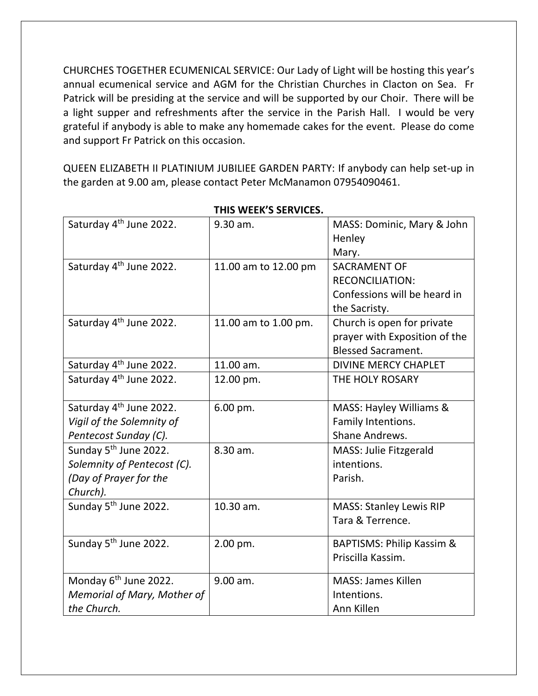CHURCHES TOGETHER ECUMENICAL SERVICE: Our Lady of Light will be hosting this year's annual ecumenical service and AGM for the Christian Churches in Clacton on Sea. Fr Patrick will be presiding at the service and will be supported by our Choir. There will be a light supper and refreshments after the service in the Parish Hall. I would be very grateful if anybody is able to make any homemade cakes for the event. Please do come and support Fr Patrick on this occasion.

QUEEN ELIZABETH II PLATINIUM JUBILIEE GARDEN PARTY: If anybody can help set-up in the garden at 9.00 am, please contact Peter McManamon 07954090461.

| Saturday 4 <sup>th</sup> June 2022. | 9.30 am.             | MASS: Dominic, Mary & John     |
|-------------------------------------|----------------------|--------------------------------|
|                                     |                      | Henley                         |
|                                     |                      | Mary.                          |
| Saturday 4 <sup>th</sup> June 2022. | 11.00 am to 12.00 pm | <b>SACRAMENT OF</b>            |
|                                     |                      | <b>RECONCILIATION:</b>         |
|                                     |                      | Confessions will be heard in   |
|                                     |                      | the Sacristy.                  |
| Saturday 4 <sup>th</sup> June 2022. | 11.00 am to 1.00 pm. | Church is open for private     |
|                                     |                      | prayer with Exposition of the  |
|                                     |                      | <b>Blessed Sacrament.</b>      |
| Saturday 4 <sup>th</sup> June 2022. | 11.00 am.            | <b>DIVINE MERCY CHAPLET</b>    |
| Saturday 4 <sup>th</sup> June 2022. | 12.00 pm.            | THE HOLY ROSARY                |
|                                     |                      |                                |
| Saturday 4 <sup>th</sup> June 2022. | 6.00 pm.             | MASS: Hayley Williams &        |
| Vigil of the Solemnity of           |                      | Family Intentions.             |
| Pentecost Sunday (C).               |                      | Shane Andrews.                 |
| Sunday 5 <sup>th</sup> June 2022.   | 8.30 am.             | <b>MASS: Julie Fitzgerald</b>  |
| Solemnity of Pentecost (C).         |                      | intentions.                    |
| (Day of Prayer for the              |                      | Parish.                        |
| Church).                            |                      |                                |
| Sunday 5 <sup>th</sup> June 2022.   | 10.30 am.            | <b>MASS: Stanley Lewis RIP</b> |
|                                     |                      | Tara & Terrence.               |
|                                     |                      |                                |
| Sunday 5 <sup>th</sup> June 2022.   | 2.00 pm.             | BAPTISMS: Philip Kassim &      |
|                                     |                      | Priscilla Kassim.              |
| Monday 6 <sup>th</sup> June 2022.   | 9.00 am.             | <b>MASS: James Killen</b>      |
| Memorial of Mary, Mother of         |                      | Intentions.                    |
| the Church.                         |                      | Ann Killen                     |

## **THIS WEEK'S SERVICES.**